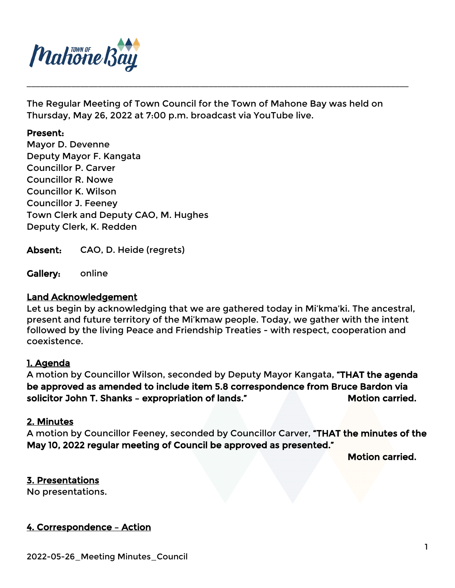

The Regular Meeting of Town Council for the Town of Mahone Bay was held on Thursday, May 26, 2022 at 7:00 p.m. broadcast via YouTube live.

\_\_\_\_\_\_\_\_\_\_\_\_\_\_\_\_\_\_\_\_\_\_\_\_\_\_\_\_\_\_\_\_\_\_\_\_\_\_\_\_\_\_\_\_\_\_\_\_\_\_\_\_\_\_\_\_\_\_\_\_\_\_\_\_\_\_\_\_\_\_\_\_\_\_\_\_\_\_\_\_\_\_\_\_\_\_

#### Present:

Mayor D. Devenne Deputy Mayor F. Kangata Councillor P. Carver Councillor R. Nowe Councillor K. Wilson Councillor J. Feeney Town Clerk and Deputy CAO, M. Hughes Deputy Clerk, K. Redden

Absent: CAO, D. Heide (regrets)

Gallery: online

## Land Acknowledgement

Let us begin by acknowledging that we are gathered today in Mi'kma'ki. The ancestral, present and future territory of the Mi'kmaw people. Today, we gather with the intent followed by the living Peace and Friendship Treaties - with respect, cooperation and coexistence.

### 1. Agenda

A motion by Councillor Wilson, seconded by Deputy Mayor Kangata, "THAT the agenda be approved as amended to include item 5.8 correspondence from Bruce Bardon via solicitor John T. Shanks - expropriation of lands." Motion carried.

#### 2. Minutes

A motion by Councillor Feeney, seconded by Councillor Carver, "THAT the minutes of the May 10, 2022 regular meeting of Council be approved as presented."

Motion carried.

### 3. Presentations

No presentations.

### 4. Correspondence – Action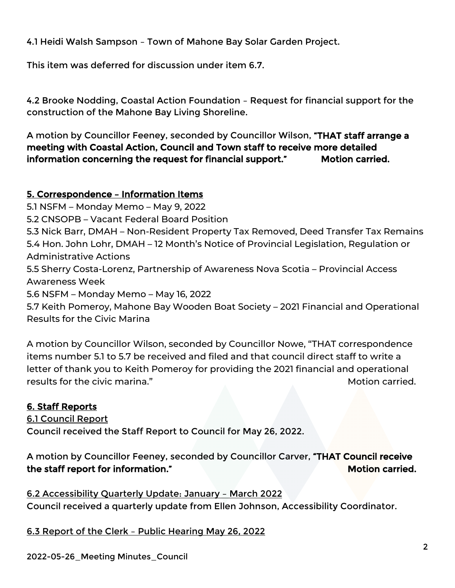4.1 Heidi Walsh Sampson – Town of Mahone Bay Solar Garden Project.

This item was deferred for discussion under item 6.7.

4.2 Brooke Nodding, Coastal Action Foundation – Request for financial support for the construction of the Mahone Bay Living Shoreline.

A motion by Councillor Feeney, seconded by Councillor Wilson, "THAT staff arrange a meeting with Coastal Action, Council and Town staff to receive more detailed information concerning the request for financial support." Motion carried.

# 5. Correspondence – Information Items

5.1 NSFM – Monday Memo – May 9, 2022

5.2 CNSOPB – Vacant Federal Board Position

5.3 Nick Barr, DMAH – Non-Resident Property Tax Removed, Deed Transfer Tax Remains 5.4 Hon. John Lohr, DMAH – 12 Month's Notice of Provincial Legislation, Regulation or Administrative Actions

5.5 Sherry Costa-Lorenz, Partnership of Awareness Nova Scotia – Provincial Access Awareness Week

5.6 NSFM – Monday Memo – May 16, 2022

5.7 Keith Pomeroy, Mahone Bay Wooden Boat Society – 2021 Financial and Operational Results for the Civic Marina

A motion by Councillor Wilson, seconded by Councillor Nowe, "THAT correspondence items number 5.1 to 5.7 be received and filed and that council direct staff to write a letter of thank you to Keith Pomeroy for providing the 2021 financial and operational results for the civic marina." The controller was also as a set of the matrix of the carried.

# 6. Staff Reports

6.1 Council Report Council received the Staff Report to Council for May 26, 2022.

A motion by Councillor Feeney, seconded by Councillor Carver, "THAT Council receive the staff report for information." The staff report for information."

6.2 Accessibility Quarterly Update: January – March 2022 Council received a quarterly update from Ellen Johnson, Accessibility Coordinator.

6.3 Report of the Clerk – Public Hearing May 26, 2022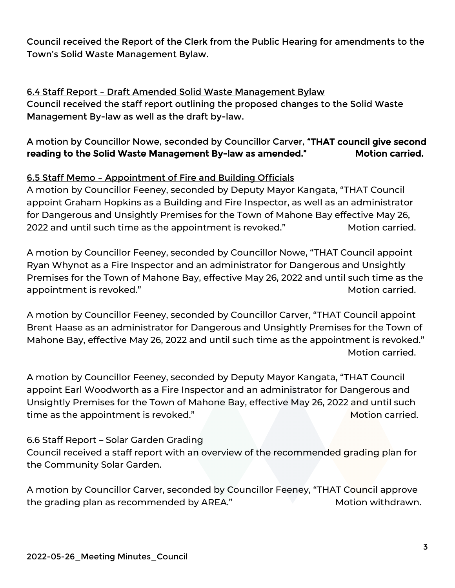Council received the Report of the Clerk from the Public Hearing for amendments to the Town's Solid Waste Management Bylaw.

# 6.4 Staff Report – Draft Amended Solid Waste Management Bylaw

Council received the staff report outlining the proposed changes to the Solid Waste Management By-law as well as the draft by-law.

# A motion by Councillor Nowe, seconded by Councillor Carver, "THAT council give second reading to the Solid Waste Management By-law as amended." Motion carried.

# 6.5 Staff Memo – Appointment of Fire and Building Officials

A motion by Councillor Feeney, seconded by Deputy Mayor Kangata, "THAT Council appoint Graham Hopkins as a Building and Fire Inspector, as well as an administrator for Dangerous and Unsightly Premises for the Town of Mahone Bay effective May 26, 2022 and until such time as the appointment is revoked." Motion carried.

A motion by Councillor Feeney, seconded by Councillor Nowe, "THAT Council appoint Ryan Whynot as a Fire Inspector and an administrator for Dangerous and Unsightly Premises for the Town of Mahone Bay, effective May 26, 2022 and until such time as the appointment is revoked." The same of the set of the set of the Motion carried.

A motion by Councillor Feeney, seconded by Councillor Carver, "THAT Council appoint Brent Haase as an administrator for Dangerous and Unsightly Premises for the Town of Mahone Bay, effective May 26, 2022 and until such time as the appointment is revoked." Motion carried.

A motion by Councillor Feeney, seconded by Deputy Mayor Kangata, "THAT Council appoint Earl Woodworth as a Fire Inspector and an administrator for Dangerous and Unsightly Premises for the Town of Mahone Bay, effective May 26, 2022 and until such time as the appointment is revoked." The same state of the Motion carried.

# 6.6 Staff Report – Solar Garden Grading

Council received a staff report with an overview of the recommended grading plan for the Community Solar Garden.

A motion by Councillor Carver, seconded by Councillor Feeney, "THAT Council approve the grading plan as recommended by AREA." Motion withdrawn.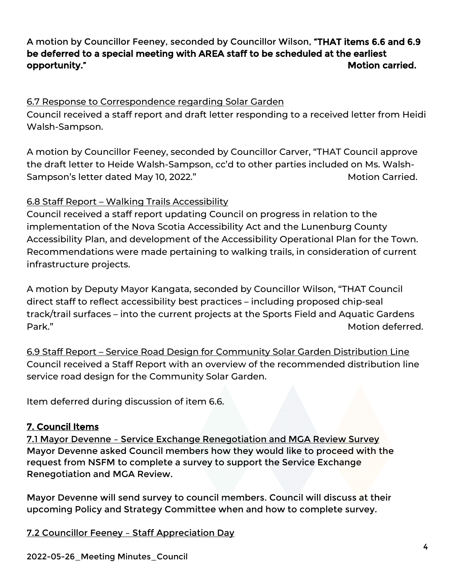# A motion by Councillor Feeney, seconded by Councillor Wilson, "THAT items 6.6 and 6.9 be deferred to a special meeting with AREA staff to be scheduled at the earliest opportunity." The contract of the contract of the contract of the contract of the contract of the contract of the contract of the contract of the contract of the contract of the contract of the contract of the contract of

# 6.7 Response to Correspondence regarding Solar Garden

Council received a staff report and draft letter responding to a received letter from Heidi Walsh-Sampson.

A motion by Councillor Feeney, seconded by Councillor Carver, "THAT Council approve the draft letter to Heide Walsh-Sampson, cc'd to other parties included on Ms. Walsh-Sampson's letter dated May 10, 2022." Sampson's letter dated May 10, 2022."

# 6.8 Staff Report – Walking Trails Accessibility

Council received a staff report updating Council on progress in relation to the implementation of the Nova Scotia Accessibility Act and the Lunenburg County Accessibility Plan, and development of the Accessibility Operational Plan for the Town. Recommendations were made pertaining to walking trails, in consideration of current infrastructure projects.

A motion by Deputy Mayor Kangata, seconded by Councillor Wilson, "THAT Council direct staff to reflect accessibility best practices – including proposed chip-seal track/trail surfaces – into the current projects at the Sports Field and Aquatic Gardens Park." Motion deferred.

6.9 Staff Report – Service Road Design for Community Solar Garden Distribution Line Council received a Staff Report with an overview of the recommended distribution line service road design for the Community Solar Garden.

Item deferred during discussion of item 6.6.

# 7. Council Items

7.1 Mayor Devenne – Service Exchange Renegotiation and MGA Review Survey Mayor Devenne asked Council members how they would like to proceed with the request from NSFM to complete a survey to support the Service Exchange Renegotiation and MGA Review.

Mayor Devenne will send survey to council members. Council will discuss at their upcoming Policy and Strategy Committee when and how to complete survey.

7.2 Councillor Feeney – Staff Appreciation Day